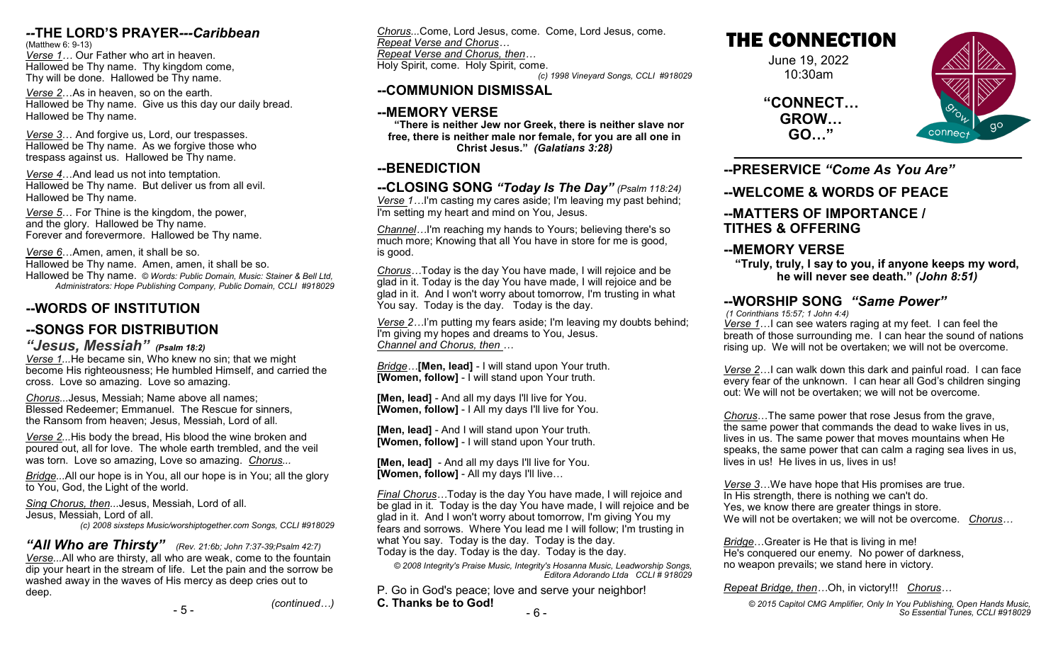#### *--***THE LORD'S PRAYER***---Caribbean*

(Matthew 6: 9-13) *Verse 1…* Our Father who art in heaven. Hallowed be Thy name. Thy kingdom come, Thy will be done. Hallowed be Thy name.

*Verse 2*…As in heaven, so on the earth. Hallowed be Thy name. Give us this day our daily bread. Hallowed be Thy name.

*Verse 3*… And forgive us, Lord, our trespasses. Hallowed be Thy name. As we forgive those who trespass against us. Hallowed be Thy name.

*Verse 4*…And lead us not into temptation. Hallowed be Thy name. But deliver us from all evil. Hallowed be Thy name.

*Verse 5*… For Thine is the kingdom, the power, and the glory. Hallowed be Thy name. Forever and forevermore. Hallowed be Thy name.

*Verse 6*…Amen, amen, it shall be so. Hallowed be Thy name. Amen, amen, it shall be so. Hallowed be Thy name. *© Words: Public Domain, Music: Stainer & Bell Ltd, Administrators: Hope Publishing Company, Public Domain, CCLI #918029*

## **--WORDS OF INSTITUTION**

## **--SONGS FOR DISTRIBUTION**

*"Jesus, Messiah" (Psalm 18:2)*

*Verse 1...*He became sin, Who knew no sin; that we might become His righteousness; He humbled Himself, and carried the cross. Love so amazing. Love so amazing.

*Chorus...*Jesus, Messiah; Name above all names; Blessed Redeemer; Emmanuel. The Rescue for sinners, the Ransom from heaven; Jesus, Messiah, Lord of all.

*Verse 2...*His body the bread, His blood the wine broken and poured out, all for love. The whole earth trembled, and the veil was torn. Love so amazing, Love so amazing. *Chorus...*

*Bridge...*All our hope is in You, all our hope is in You; all the glory to You, God, the Light of the world.

*Sing Chorus, then...*Jesus, Messiah, Lord of all. Jesus, Messiah, Lord of all.

*(c) 2008 sixsteps Music/worshiptogether.com Songs, CCLI #918029*

*"All Who are Thirsty" (Rev. 21:6b; John 7:37-39;Psalm 42:7) Verse...*All who are thirsty, all who are weak, come to the fountain dip your heart in the stream of life. Let the pain and the sorrow be washed away in the waves of His mercy as deep cries out to deep. *(continued…)*

- 5 -

*Chorus...*Come, Lord Jesus, come. Come, Lord Jesus, come. *Repeat Verse and Chorus… Repeat Verse and Chorus, then…*

Holy Spirit, come. Holy Spirit, come. *(c) 1998 Vineyard Songs, CCLI #918029*

## **--COMMUNION DISMISSAL**

## **--MEMORY VERSE**

**"There is neither Jew nor Greek, there is neither slave nor free, there is neither male nor female, for you are all one in Christ Jesus."** *(Galatians 3:28)*

## **--BENEDICTION**

**--CLOSING SONG** *"Today Is The Day" (Psalm 118:24) Verse 1…*I'm casting my cares aside; I'm leaving my past behind; I'm setting my heart and mind on You, Jesus.

*Channel…*I'm reaching my hands to Yours; believing there's so much more; Knowing that all You have in store for me is good, is good.

*Chorus…*Today is the day You have made, I will rejoice and be glad in it. Today is the day You have made, I will rejoice and be glad in it. And I won't worry about tomorrow, I'm trusting in what You say. Today is the day. Today is the day.

*Verse 2…*I'm putting my fears aside; I'm leaving my doubts behind; I'm giving my hopes and dreams to You, Jesus. *Channel and Chorus, then …*

*Bridge…***[Men, lead]** - I will stand upon Your truth. **[Women, follow]** - I will stand upon Your truth.

**[Men, lead]** - And all my days I'll live for You. **[Women, follow]** - I All my days I'll live for You.

**[Men, lead]** - And I will stand upon Your truth. **[Women, follow]** - I will stand upon Your truth.

**[Men, lead]** - And all my days I'll live for You. **[Women, follow]** - All my days I'll live…

*Final Chorus…*Today is the day You have made, I will rejoice and be glad in it. Today is the day You have made, I will rejoice and be glad in it. And I won't worry about tomorrow, I'm giving You my fears and sorrows. Where You lead me I will follow; I'm trusting in what You say. Today is the day. Today is the day. Today is the day. Today is the day. Today is the day.

*© 2008 Integrity's Praise Music, Integrity's Hosanna Music, Leadworship Songs, Editora Adorando Ltda CCLI # 918029*

P. Go in God's peace; love and serve your neighbor! **C. Thanks be to God!**

# THE CONNECTION

June 19, 2022 10:30am

**"CONNECT… GROW… GO…"**



**--PRESERVICE** *"Come As You Are"*

## **--WELCOME & WORDS OF PEACE**

#### **--MATTERS OF IMPORTANCE / TITHES & OFFERING**

## **--MEMORY VERSE**

**"Truly, truly, I say to you, if anyone keeps my word, he will never see death."** *(John 8:51)*

## **--WORSHIP SONG** *"Same Power"*

*(1 Corinthians 15:57; 1 John 4:4)*

*Verse 1*…I can see waters raging at my feet. I can feel the breath of those surrounding me. I can hear the sound of nations rising up. We will not be overtaken; we will not be overcome.

*Verse 2*…I can walk down this dark and painful road. I can face every fear of the unknown. I can hear all God's children singing out: We will not be overtaken; we will not be overcome.

*Chorus*…The same power that rose Jesus from the grave, the same power that commands the dead to wake lives in us, lives in us. The same power that moves mountains when He speaks, the same power that can calm a raging sea lives in us, lives in us! He lives in us, lives in us!

*Verse 3*…We have hope that His promises are true. In His strength, there is nothing we can't do. Yes, we know there are greater things in store. We will not be overtaken; we will not be overcome. *Chorus…*

*Bridge*…Greater is He that is living in me! He's conquered our enemy. No power of darkness, no weapon prevails; we stand here in victory.

*Repeat Bridge, then…*Oh, in victory!!! *Chorus…*